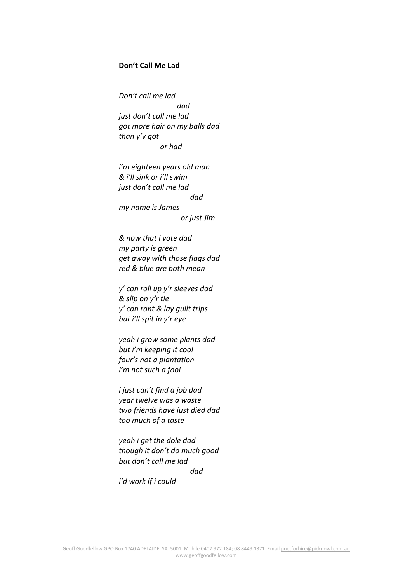## **Don't Call Me Lad**

*Don't call me lad dad just don't call me lad got more hair on my balls dad than y'v got or had*

*i'm eighteen years old man & i'll sink or i'll swim just don't call me lad dad my name is James or just Jim*

*& now that i vote dad my party is green get away with those flags dad red & blue are both mean*

*y' can roll up y'r sleeves dad & slip on y'r tie y' can rant & lay guilt trips but i'll spit in y'r eye*

*yeah i grow some plants dad but i'm keeping it cool four's not a plantation i'm not such a fool*

*i just can't find a job dad year twelve was a waste two friends have just died dad too much of a taste*

*yeah i get the dole dad though it don't do much good but don't call me lad dad*

*i'd work if i could*